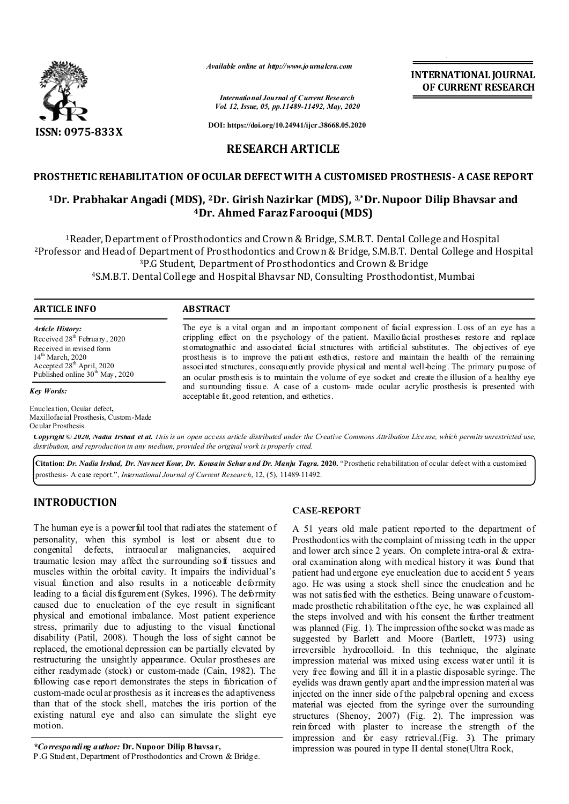

*Available online at http://www.journalcra.com*

*International Journal of Current Research Vol. 12, Issue, 05, pp.11489-11492, May, 2020* **INTERNATIONAL JOURNAL OF CURRENT RESEARCH**

**DOI: https://doi.org/10.24941/ijcr.38668.05.2020**

# **RESEARCH ARTICLE**

## **PROSTHETIC REHABILITATION OF OCULAR DEFECT WITH A CUSTOMISED PROSTHESIS- A CASE REPORT**

## **1Dr. Prabhakar Angadi (MDS), 2Dr. Girish Nazirkar (MDS), 3,\*Dr. Nupoor Dilip Bhavsar and 4Dr. Ahmed Faraz Farooqui (MDS)**

1Reader, Department of Prosthodontics and Crown & Bridge, S.M.B.T. Dental College and Hospital 2Professor and Head of Department of Prosthodontics and Crown & Bridge, S.M.B.T. Dental College and Hospital 3P.G Student, Department of Prosthodontics and Crown & Bridge 4S.M.B.T. Dental College and Hospital Bhavsar ND, Consulting Prosthodontist, Mumbai

### **ARTICLE INFO ABSTRACT**

*Article History:* Received 28<sup>th</sup> February, 2020 Received in revised form 14<sup>th</sup> March, 2020 Accepted  $28<sup>th</sup>$  April, 2020 Published online 30<sup>th</sup> May, 2020

*Key Words:*

Enucleation, Ocular defect**,**  Maxillofacial Prosthesis, Custom-Made Ocular Prosthesis.

The eye is a vital organ and an important component of facial expression. Loss of an eye has a crippling effect on the psychology of the patient. Maxillofacial prostheses restore and replace stomatognathic and associated facial structures with artificial substitutes. The objectives of eye prosthesis is to improve the patient esthetics, restore and maintain the health of the remaining associated structures, consequently provide physical and mental well-being. The primary purpose of an ocular prosthesis is to maintain the volume of eye socket and create the illusion of a healthy eye and surrounding tissue. A case of a custom- made ocular acrylic prosthesis is presented with acceptable fit, good retention, and esthetics.

Copyright © 2020, Nadia Irshad et al. This is an open access article distributed under the Creative Commons Attribution License, which permits unrestricted use, *distribution, and reproduction in any medium, provided the original work is properly cited.*

**Citation:** *Dr. Nadia Irshad, Dr. Navneet Kour, Dr. Kousain Sehar and Dr. Manju Tagra.* **2020.** "Prosthetic rehabilitation of ocular defect with a customised prosthesis- A case report.", *International Journal of Current Research*, 12, (5), 11489-11492.

# **INTRODUCTION**

The human eye is a powerful tool that radiates the statement of personality, when this symbol is lost or absent due to congenital defects, intraocular malignancies, acquired traumatic lesion may affect the surrounding soft tissues and muscles within the orbital cavity. It impairs the individual's visual function and also results in a noticeable deformity leading to a facial dis figurement (Sykes, 1996). The deformity caused due to enucleation of the eye result in significant physical and emotional imbalance. Most patient experience stress, primarily due to adjusting to the visual functional disability (Patil, 2008). Though the loss of sight cannot be replaced, the emotional depression can be partially elevated by restructuring the unsightly appearance. Ocular prostheses are either readymade (stock) or custom-made (Cain, 1982). The following case report demonstrates the steps in fabrication of custom-made ocul ar prosthesis as it increases the adaptiveness than that of the stock shell, matches the iris portion of the existing natural eye and also can simulate the slight eye motion.

*\*Corresponding author:* **Dr. Nupoor Dilip Bhavsar,** 

### **CASE-REPORT**

A 51 years old male patient reported to the department of Prosthodontics with the complaint of missing teeth in the upper and lower arch since 2 years. On complete intra-oral & extraoral examination along with medical history it was found that patient had und ergone eye enucleation due to accident 5 years ago. He was using a stock shell since the enucleation and he was not satisfied with the esthetics. Being unaware of custommade prosthetic rehabilitation of the eye, he was explained all the steps involved and with his consent the further treatment was planned (Fig. 1). The impression ofthe socket was made as suggested by Barlett and Moore (Bartlett, 1973**)** using irreversible hydrocolloid. In this technique, the alginate impression material was mixed using excess water until it is very free flowing and fill it in a plastic disposable syringe. The eyelids was drawn gently apart and the impression material was injected on the inner side ofthe palpebral opening and excess material was ejected from the syringe over the surrounding structures (Shenoy, 2007) (Fig. 2). The impression was reinforced with plaster to increase the strength of the impression and for easy retrieval.(Fig. 3). The primary impression was poured in type II dental stone(Ultra Rock,

P.G Student, Department of Prosthodontics and Crown & Bridge.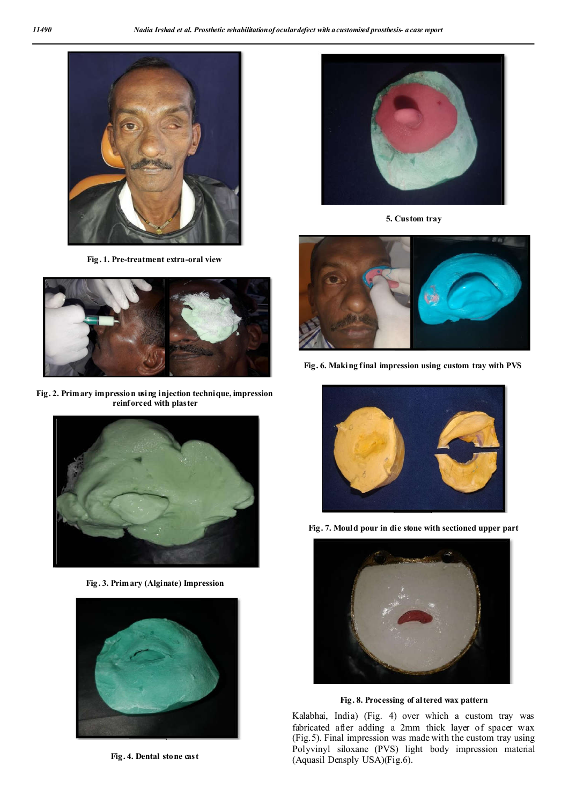

**Fig. 1. Pre-treatment extra-oral view**



**Fig. 2. Primary impression using injection technique, impression reinforced with plaster**



**Fig. 3. Primary (Alginate) Impression**



**Fig. 4. Dental stone cast** 



**5. Custom tray**



**Fig. 6. Making final impression using custom tray with PVS**



**Fig. 7. Mould pour in die stone with sectioned upper part**



**Fig. 8. Processing of altered wax pattern**

Kalabhai, India) (Fig. 4) over which a custom tray was fabricated after adding a 2mm thick layer of spacer wax (Fig.5). Final impression was made with the custom tray using Polyvinyl siloxane (PVS) light body impression material (Aquasil Densply USA)(Fig.6).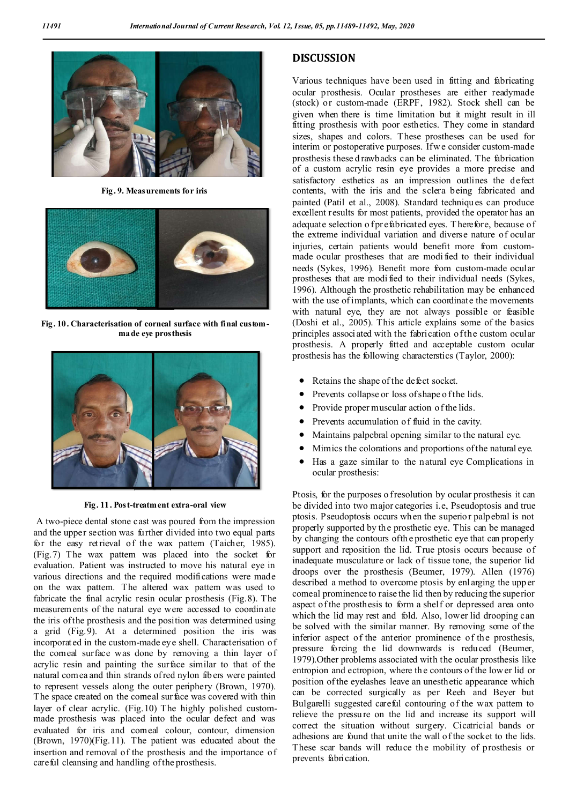

**Fig. 9. Measurements for iris**



**Fig. 10. Characterisation of corneal surface with final custommade eye prosthesis**



**Fig. 11. Post-treatment extra-oral view**

A two-piece dental stone cast was poured from the impression and the upper section was further divided into two equal parts for the easy retrieval of the wax pattem (Taicher, 1985). (Fig.7) The wax pattern was placed into the socket for evaluation. Patient was instructed to move his natural eye in various directions and the required modifications were made on the wax pattern. The altered wax pattern was used to fabricate the final acrylic resin ocular prosthesis (Fig.8). The measurements of the natural eye were accessed to coordinate the iris of the prosthesis and the position was determined using a grid (Fig.9). At a determined position the iris was incorporated in the custom-made eye shell. Characterisation of the corneal surface was done by removing a thin layer of acrylic resin and painting the surface similar to that of the natural cornea and thin strands of red nylon fibers were painted to represent vessels along the outer periphery (Brown, 1970). The space created on the comeal surface was covered with thin layer of clear acrylic. (Fig.10) The highly polished custommade prosthesis was placed into the ocular defect and was evaluated for iris and corneal colour, contour, dimension (Brown, 1970)(Fig.11). The patient was educated about the insertion and removal of the prosthesis and the importance of careful cleansing and handling of the prosthesis.

## **DISCUSSION**

Various techniques have been used in fitting and fabricating ocular prosthesis. Ocular prostheses are either readymade (stock) or custom-made (ERPF, 1982). Stock shell can be given when there is time limitation but it might result in ill fitting prosthesis with poor esthetics. They come in standard sizes, shapes and colors. These prostheses can be used for interim or postoperative purposes. If we consider custom-made prosthesis these d rawbacks can be eliminated. The fabrication of a custom acrylic resin eye provides a more precise and satisfactory esthetics as an impression outlines the defect contents, with the iris and the sclera being fabricated and painted (Patil et al., 2008). Standard techniques can produce excellent results for most patients, provided the operator has an adequate selection o fprefabricated eyes. Therefore, because of the extreme individual variation and diverse nature of ocular injuries, certain patients would benefit more from custommade ocular prostheses that are modi fied to their individual needs (Sykes, 1996). Benefit more from custom-made ocular prostheses that are modi fied to their individual needs (Sykes, 1996). Although the prosthetic rehabilitation may be enhanced with the use of implants, which can coordinate the movements with natural eye, they are not always possible or feasible (Doshi et al., 2005). This article explains some of the basics principles associated with the fabrication of the custom ocular prosthesis. A properly fitted and acceptable custom ocular prosthesis has the following characterstics (Taylor, 2000):

- Retains the shape of the defect socket.
- Prevents collapse or loss of shape of the lids.
- Provide proper muscular action of the lids.
- Prevents accumulation of fluid in the cavity.
- Maintains palpebral opening similar to the natural eye.
- Mimics the colorations and proportions of the natural eye.
- Has a gaze similar to the natural eye Complications in ocular prosthesis:

Ptosis, for the purposes o fresolution by ocular prosthesis it can be divided into two major categories i.e, Pseudoptosis and true ptosis. Pseudoptosis occurs when the superior palpebral is not properly supported by the prosthetic eye. This can be managed by changing the contours ofthe prosthetic eye that can properly support and reposition the lid. True ptosis occurs because of inadequate musculature or lack of tissue tone, the superior lid droops over the prosthesis (Beumer, 1979). Allen (1976) described a method to overcome ptosis by enl arging the upp er corneal prominence to raise the lid then by reducing the superior aspect of the prosthesis to form a shelf or depressed area onto which the lid may rest and fold. Also, lower lid drooping can be solved with the similar manner. By removing some of the inferior aspect of the anterior prominence of the prosthesis, pressure forcing the lid downwards is reduced (Beumer, 1979).Other problems associated with the ocular prosthesis like entropion and ectropion, where the contours of the low er lid or position ofthe eyelashes leave an unesthetic appearance which can be corrected surgically as per Reeh and Beyer but Bulgarelli suggested careful contouring of the wax pattem to relieve the pressure on the lid and increase its support will correct the situation without surgery. Cicatricial bands or adhesions are found that unite the wall of the socket to the lids. These scar bands will reduce the mobility of prosthesis or prevents fabrication.